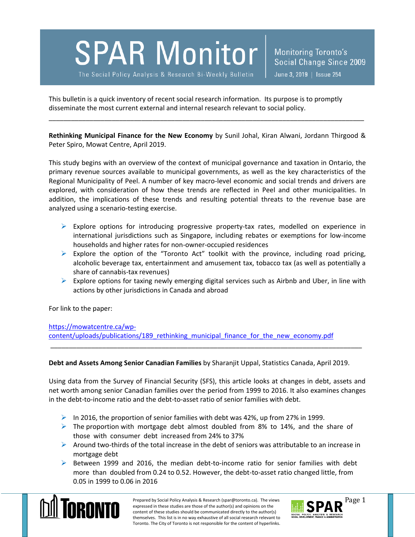**SPAR Monitor** 

The Social Policy Analysis & Research Bi-Weekly Bulletin

This bulletin is a quick inventory of recent social research information. Its purpose is to promptly disseminate the most current external and internal research relevant to social policy.

**Rethinking Municipal Finance for the New Economy** by Sunil Johal, Kiran Alwani, Jordann Thirgood & Peter Spiro, Mowat Centre, April 2019.

\_\_\_\_\_\_\_\_\_\_\_\_\_\_\_\_\_\_\_\_\_\_\_\_\_\_\_\_\_\_\_\_\_\_\_\_\_\_\_\_\_\_\_\_\_\_\_\_\_\_\_\_\_\_\_\_\_\_\_\_\_\_\_\_\_\_\_\_\_\_\_\_\_\_\_\_\_\_\_\_\_\_\_\_\_

This study begins with an overview of the context of municipal governance and taxation in Ontario, the primary revenue sources available to municipal governments, as well as the key characteristics of the Regional Municipality of Peel. A number of key macro-level economic and social trends and drivers are explored, with consideration of how these trends are reflected in Peel and other municipalities. In addition, the implications of these trends and resulting potential threats to the revenue base are analyzed using a scenario-testing exercise.

- $\triangleright$  Explore options for introducing progressive property-tax rates, modelled on experience in international jurisdictions such as Singapore, including rebates or exemptions for low-income households and higher rates for non-owner-occupied residences
- $\triangleright$  Explore the option of the "Toronto Act" toolkit with the province, including road pricing, alcoholic beverage tax, entertainment and amusement tax, tobacco tax (as well as potentially a share of cannabis-tax revenues)
- $\triangleright$  Explore options for taxing newly emerging digital services such as Airbnb and Uber, in line with actions by other jurisdictions in Canada and abroad

For link to the paper:

[https://mowatcentre.ca/wp](https://mowatcentre.ca/wp-content/uploads/publications/189_rethinking_municipal_finance_for_the_new_economy.pdf)[content/uploads/publications/189\\_rethinking\\_municipal\\_finance\\_for\\_the\\_new\\_economy.pdf](https://mowatcentre.ca/wp-content/uploads/publications/189_rethinking_municipal_finance_for_the_new_economy.pdf)

## **Debt and Assets Among Senior Canadian Families** by Sharanjit Uppal, Statistics Canada, April 2019.

\_\_\_\_\_\_\_\_\_\_\_\_\_\_\_\_\_\_\_\_\_\_\_\_\_\_\_\_\_\_\_\_\_\_\_\_\_\_\_\_\_\_\_\_\_\_\_\_\_\_\_\_\_\_\_\_\_\_\_\_\_\_\_\_\_\_\_\_\_\_\_\_\_\_\_\_\_\_\_\_\_\_\_\_

Using data from the Survey of Financial Security (SFS), this article looks at changes in debt, assets and net worth among senior Canadian families over the period from 1999 to 2016. It also examines changes in the debt-to-income ratio and the debt-to-asset ratio of senior families with debt.

- In 2016, the proportion of senior families with debt was 42%, up from 27% in 1999.
- $\triangleright$  The proportion with mortgage debt almost doubled from 8% to 14%, and the share of those with consumer debt increased from 24% to 37%
- $\triangleright$  Around two-thirds of the total increase in the debt of seniors was attributable to an increase in mortgage debt
- $\triangleright$  Between 1999 and 2016, the median debt-to-income ratio for senior families with debt more than doubled from 0.24 to 0.52. However, the debt-to-asset ratio changed little, from 0.05 in 1999 to 0.06 in 2016



Prepared by Social Policy Analysis & Research (spar@toronto.ca). The views Page 1 expressed in these studies are those of the author(s) and opinions on the content of these studies should be communicated directly to the author(s) themselves. This list is in no way exhaustive of all social research relevant to Toronto. The City of Toronto is not responsible for the content of hyperlinks.

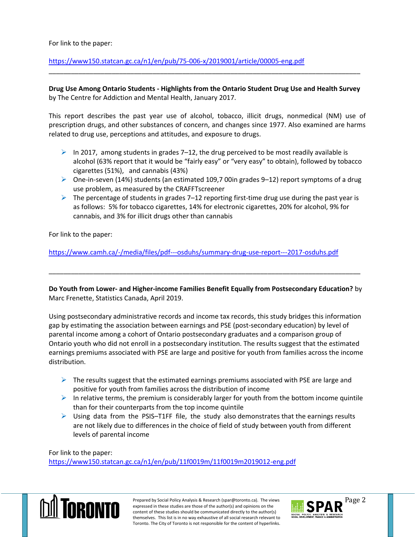## For link to the paper:

<https://www150.statcan.gc.ca/n1/en/pub/75-006-x/2019001/article/00005-eng.pdf>

## **Drug Use Among Ontario Students - Highlights from the Ontario Student Drug Use and Health Survey** by The Centre for Addiction and Mental Health, January 2017.

\_\_\_\_\_\_\_\_\_\_\_\_\_\_\_\_\_\_\_\_\_\_\_\_\_\_\_\_\_\_\_\_\_\_\_\_\_\_\_\_\_\_\_\_\_\_\_\_\_\_\_\_\_\_\_\_\_\_\_\_\_\_\_\_\_\_\_\_\_\_\_\_\_\_\_\_\_\_\_\_\_\_\_\_

This report describes the past year use of alcohol, tobacco, illicit drugs, nonmedical (NM) use of prescription drugs, and other substances of concern, and changes since 1977. Also examined are harms related to drug use, perceptions and attitudes, and exposure to drugs.

- In 2017, among students in grades 7–12, the drug perceived to be most readily available is alcohol (63% report that it would be "fairly easy" or "very easy" to obtain), followed by tobacco cigarettes (51%), and cannabis (43%)
- $\triangleright$  One-in-seven (14%) students (an estimated 109,7 00in grades 9–12) report symptoms of a drug use problem, as measured by the CRAFFTscreener
- $\triangleright$  The percentage of students in grades 7–12 reporting first-time drug use during the past year is as follows: 5% for tobacco cigarettes, 14% for electronic cigarettes, 20% for alcohol, 9% for cannabis, and 3% for illicit drugs other than cannabis

For link to the paper:

<https://www.camh.ca/-/media/files/pdf---osduhs/summary-drug-use-report---2017-osduhs.pdf>

**Do Youth from Lower- and Higher-income Families Benefit Equally from Postsecondary Education?** by Marc Frenette, Statistics Canada, April 2019.

\_\_\_\_\_\_\_\_\_\_\_\_\_\_\_\_\_\_\_\_\_\_\_\_\_\_\_\_\_\_\_\_\_\_\_\_\_\_\_\_\_\_\_\_\_\_\_\_\_\_\_\_\_\_\_\_\_\_\_\_\_\_\_\_\_\_\_\_\_\_\_\_\_\_\_\_\_\_\_\_\_\_\_\_

Using postsecondary administrative records and income tax records, this study bridges this information gap by estimating the association between earnings and PSE (post-secondary education) by level of parental income among a cohort of Ontario postsecondary graduates and a comparison group of Ontario youth who did not enroll in a postsecondary institution. The results suggest that the estimated earnings premiums associated with PSE are large and positive for youth from families across the income distribution.

- $\triangleright$  The results suggest that the estimated earnings premiums associated with PSE are large and positive for youth from families across the distribution of income
- $\triangleright$  In relative terms, the premium is considerably larger for youth from the bottom income quintile than for their counterparts from the top income quintile
- $\triangleright$  Using data from the PSIS–T1FF file, the study also demonstrates that the earnings results are not likely due to differences in the choice of field of study between youth from different levels of parental income

For link to the paper: <https://www150.statcan.gc.ca/n1/en/pub/11f0019m/11f0019m2019012-eng.pdf>